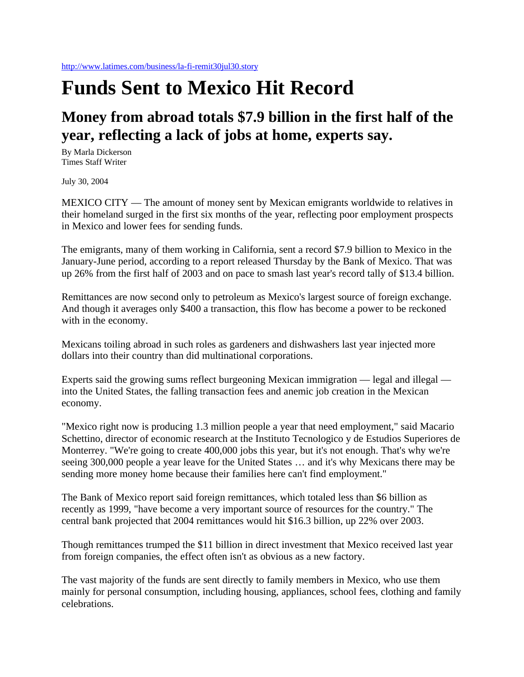## **Funds Sent to Mexico Hit Record**

## **Money from abroad totals \$7.9 billion in the first half of the year, reflecting a lack of jobs at home, experts say.**

By Marla Dickerson Times Staff Writer

July 30, 2004

MEXICO CITY — The amount of money sent by Mexican emigrants worldwide to relatives in their homeland surged in the first six months of the year, reflecting poor employment prospects in Mexico and lower fees for sending funds.

The emigrants, many of them working in California, sent a record \$7.9 billion to Mexico in the January-June period, according to a report released Thursday by the Bank of Mexico. That was up 26% from the first half of 2003 and on pace to smash last year's record tally of \$13.4 billion.

Remittances are now second only to petroleum as Mexico's largest source of foreign exchange. And though it averages only \$400 a transaction, this flow has become a power to be reckoned with in the economy.

Mexicans toiling abroad in such roles as gardeners and dishwashers last year injected more dollars into their country than did multinational corporations.

Experts said the growing sums reflect burgeoning Mexican immigration — legal and illegal into the United States, the falling transaction fees and anemic job creation in the Mexican economy.

"Mexico right now is producing 1.3 million people a year that need employment," said Macario Schettino, director of economic research at the Instituto Tecnologico y de Estudios Superiores de Monterrey. "We're going to create 400,000 jobs this year, but it's not enough. That's why we're seeing 300,000 people a year leave for the United States … and it's why Mexicans there may be sending more money home because their families here can't find employment."

The Bank of Mexico report said foreign remittances, which totaled less than \$6 billion as recently as 1999, "have become a very important source of resources for the country." The central bank projected that 2004 remittances would hit \$16.3 billion, up 22% over 2003.

Though remittances trumped the \$11 billion in direct investment that Mexico received last year from foreign companies, the effect often isn't as obvious as a new factory.

The vast majority of the funds are sent directly to family members in Mexico, who use them mainly for personal consumption, including housing, appliances, school fees, clothing and family celebrations.